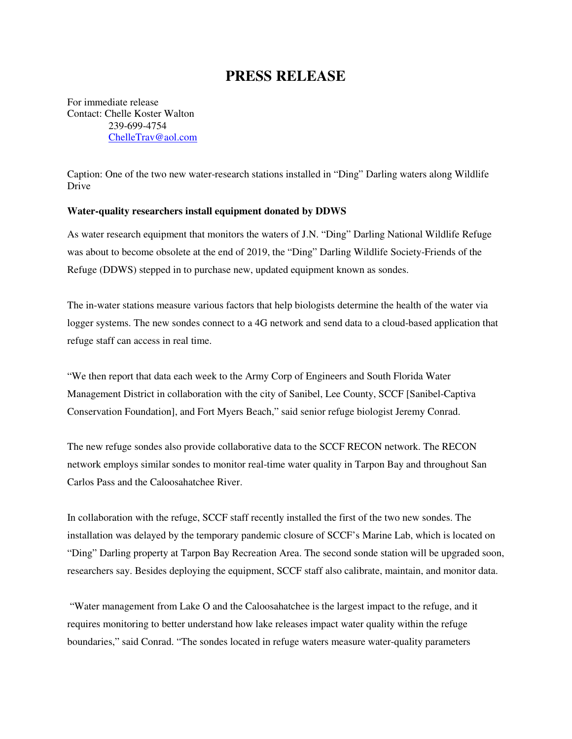## **PRESS RELEASE**

For immediate release Contact: Chelle Koster Walton 239-699-4754 ChelleTrav@aol.com

Caption: One of the two new water-research stations installed in "Ding" Darling waters along Wildlife Drive

## **Water-quality researchers install equipment donated by DDWS**

As water research equipment that monitors the waters of J.N. "Ding" Darling National Wildlife Refuge was about to become obsolete at the end of 2019, the "Ding" Darling Wildlife Society-Friends of the Refuge (DDWS) stepped in to purchase new, updated equipment known as sondes.

The in-water stations measure various factors that help biologists determine the health of the water via logger systems. The new sondes connect to a 4G network and send data to a cloud-based application that refuge staff can access in real time.

"We then report that data each week to the Army Corp of Engineers and South Florida Water Management District in collaboration with the city of Sanibel, Lee County, SCCF [Sanibel-Captiva Conservation Foundation], and Fort Myers Beach," said senior refuge biologist Jeremy Conrad.

The new refuge sondes also provide collaborative data to the SCCF RECON network. The RECON network employs similar sondes to monitor real-time water quality in Tarpon Bay and throughout San Carlos Pass and the Caloosahatchee River.

In collaboration with the refuge, SCCF staff recently installed the first of the two new sondes. The installation was delayed by the temporary pandemic closure of SCCF's Marine Lab, which is located on "Ding" Darling property at Tarpon Bay Recreation Area. The second sonde station will be upgraded soon, researchers say. Besides deploying the equipment, SCCF staff also calibrate, maintain, and monitor data.

 "Water management from Lake O and the Caloosahatchee is the largest impact to the refuge, and it requires monitoring to better understand how lake releases impact water quality within the refuge boundaries," said Conrad. "The sondes located in refuge waters measure water-quality parameters